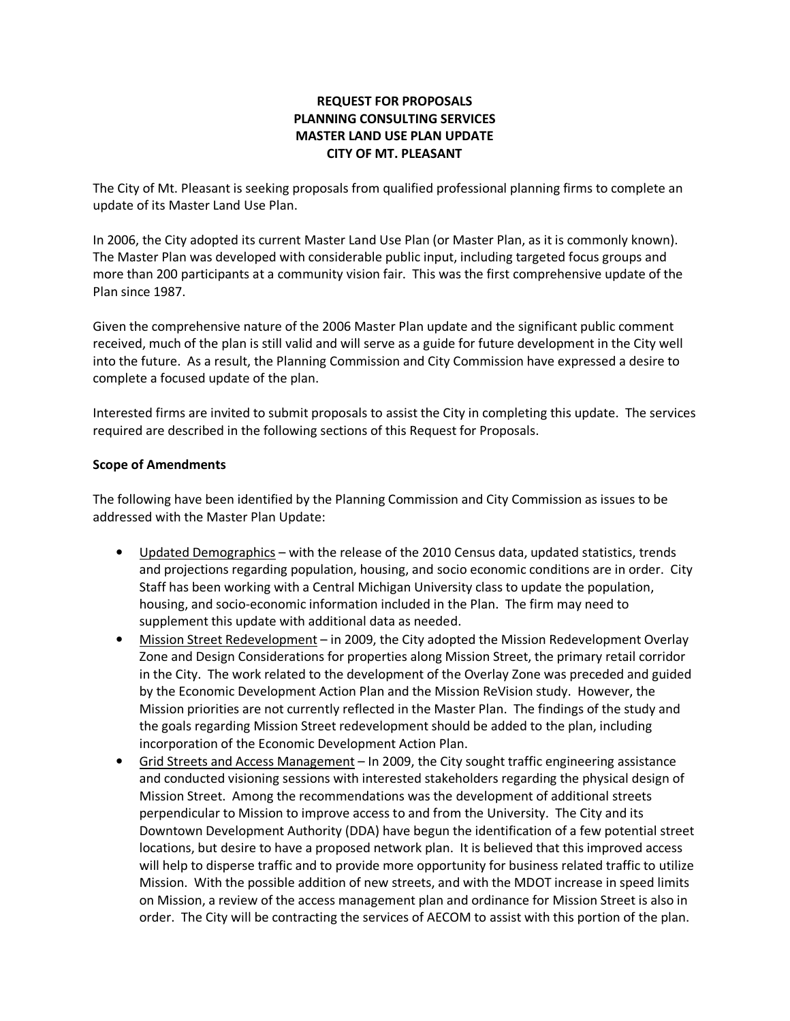# REQUEST FOR PROPOSALS PLANNING CONSULTING SERVICES MASTER LAND USE PLAN UPDATE CITY OF MT. PLEASANT

The City of Mt. Pleasant is seeking proposals from qualified professional planning firms to complete an update of its Master Land Use Plan.

In 2006, the City adopted its current Master Land Use Plan (or Master Plan, as it is commonly known). The Master Plan was developed with considerable public input, including targeted focus groups and more than 200 participants at a community vision fair. This was the first comprehensive update of the Plan since 1987.

Given the comprehensive nature of the 2006 Master Plan update and the significant public comment received, much of the plan is still valid and will serve as a guide for future development in the City well into the future. As a result, the Planning Commission and City Commission have expressed a desire to complete a focused update of the plan.

Interested firms are invited to submit proposals to assist the City in completing this update. The services required are described in the following sections of this Request for Proposals.

## Scope of Amendments

The following have been identified by the Planning Commission and City Commission as issues to be addressed with the Master Plan Update:

- Updated Demographics with the release of the 2010 Census data, updated statistics, trends and projections regarding population, housing, and socio economic conditions are in order. City Staff has been working with a Central Michigan University class to update the population, housing, and socio-economic information included in the Plan. The firm may need to supplement this update with additional data as needed.
- Mission Street Redevelopment in 2009, the City adopted the Mission Redevelopment Overlay Zone and Design Considerations for properties along Mission Street, the primary retail corridor in the City. The work related to the development of the Overlay Zone was preceded and guided by the Economic Development Action Plan and the Mission ReVision study. However, the Mission priorities are not currently reflected in the Master Plan. The findings of the study and the goals regarding Mission Street redevelopment should be added to the plan, including incorporation of the Economic Development Action Plan.
- Grid Streets and Access Management In 2009, the City sought traffic engineering assistance and conducted visioning sessions with interested stakeholders regarding the physical design of Mission Street. Among the recommendations was the development of additional streets perpendicular to Mission to improve access to and from the University. The City and its Downtown Development Authority (DDA) have begun the identification of a few potential street locations, but desire to have a proposed network plan. It is believed that this improved access will help to disperse traffic and to provide more opportunity for business related traffic to utilize Mission. With the possible addition of new streets, and with the MDOT increase in speed limits on Mission, a review of the access management plan and ordinance for Mission Street is also in order. The City will be contracting the services of AECOM to assist with this portion of the plan.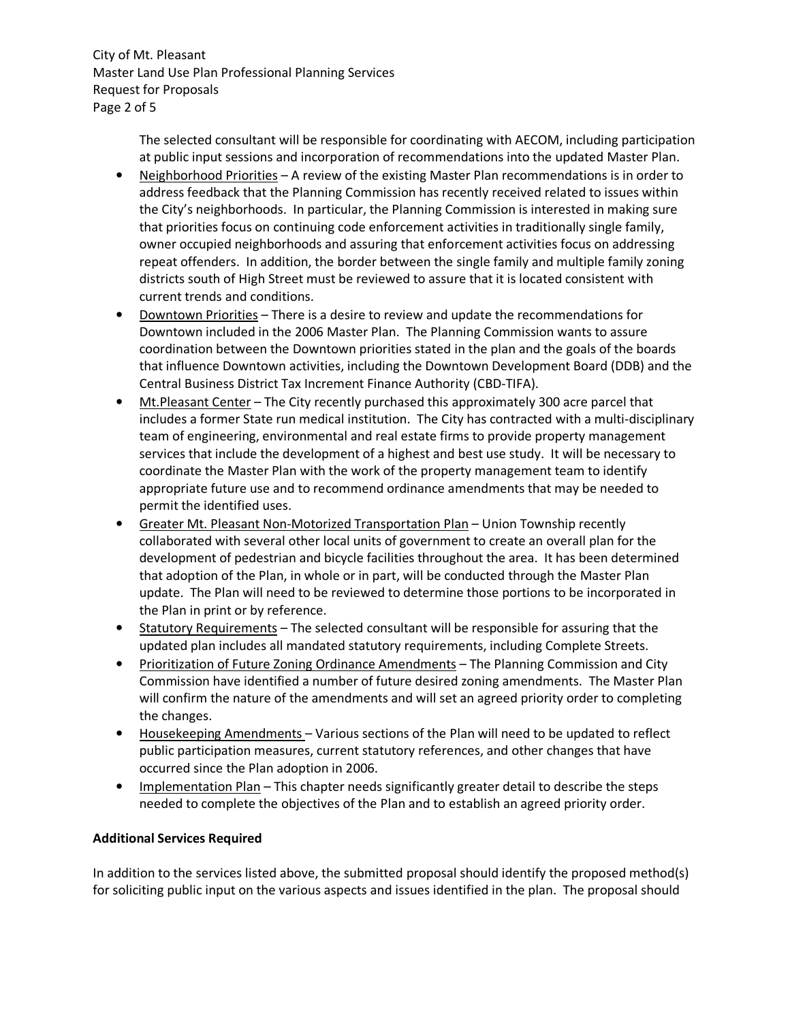City of Mt. Pleasant Master Land Use Plan Professional Planning Services Request for Proposals Page 2 of 5

> The selected consultant will be responsible for coordinating with AECOM, including participation at public input sessions and incorporation of recommendations into the updated Master Plan.

- Neighborhood Priorities A review of the existing Master Plan recommendations is in order to address feedback that the Planning Commission has recently received related to issues within the City's neighborhoods. In particular, the Planning Commission is interested in making sure that priorities focus on continuing code enforcement activities in traditionally single family, owner occupied neighborhoods and assuring that enforcement activities focus on addressing repeat offenders. In addition, the border between the single family and multiple family zoning districts south of High Street must be reviewed to assure that it is located consistent with current trends and conditions.
- Downtown Priorities There is a desire to review and update the recommendations for Downtown included in the 2006 Master Plan. The Planning Commission wants to assure coordination between the Downtown priorities stated in the plan and the goals of the boards that influence Downtown activities, including the Downtown Development Board (DDB) and the Central Business District Tax Increment Finance Authority (CBD-TIFA).
- Mt.Pleasant Center The City recently purchased this approximately 300 acre parcel that includes a former State run medical institution. The City has contracted with a multi-disciplinary team of engineering, environmental and real estate firms to provide property management services that include the development of a highest and best use study. It will be necessary to coordinate the Master Plan with the work of the property management team to identify appropriate future use and to recommend ordinance amendments that may be needed to permit the identified uses.
- Greater Mt. Pleasant Non-Motorized Transportation Plan Union Township recently collaborated with several other local units of government to create an overall plan for the development of pedestrian and bicycle facilities throughout the area. It has been determined that adoption of the Plan, in whole or in part, will be conducted through the Master Plan update. The Plan will need to be reviewed to determine those portions to be incorporated in the Plan in print or by reference.
- Statutory Requirements The selected consultant will be responsible for assuring that the updated plan includes all mandated statutory requirements, including Complete Streets.
- Prioritization of Future Zoning Ordinance Amendments The Planning Commission and City Commission have identified a number of future desired zoning amendments. The Master Plan will confirm the nature of the amendments and will set an agreed priority order to completing the changes.
- Housekeeping Amendments Various sections of the Plan will need to be updated to reflect public participation measures, current statutory references, and other changes that have occurred since the Plan adoption in 2006.
- Implementation Plan This chapter needs significantly greater detail to describe the steps needed to complete the objectives of the Plan and to establish an agreed priority order.

# Additional Services Required

In addition to the services listed above, the submitted proposal should identify the proposed method(s) for soliciting public input on the various aspects and issues identified in the plan. The proposal should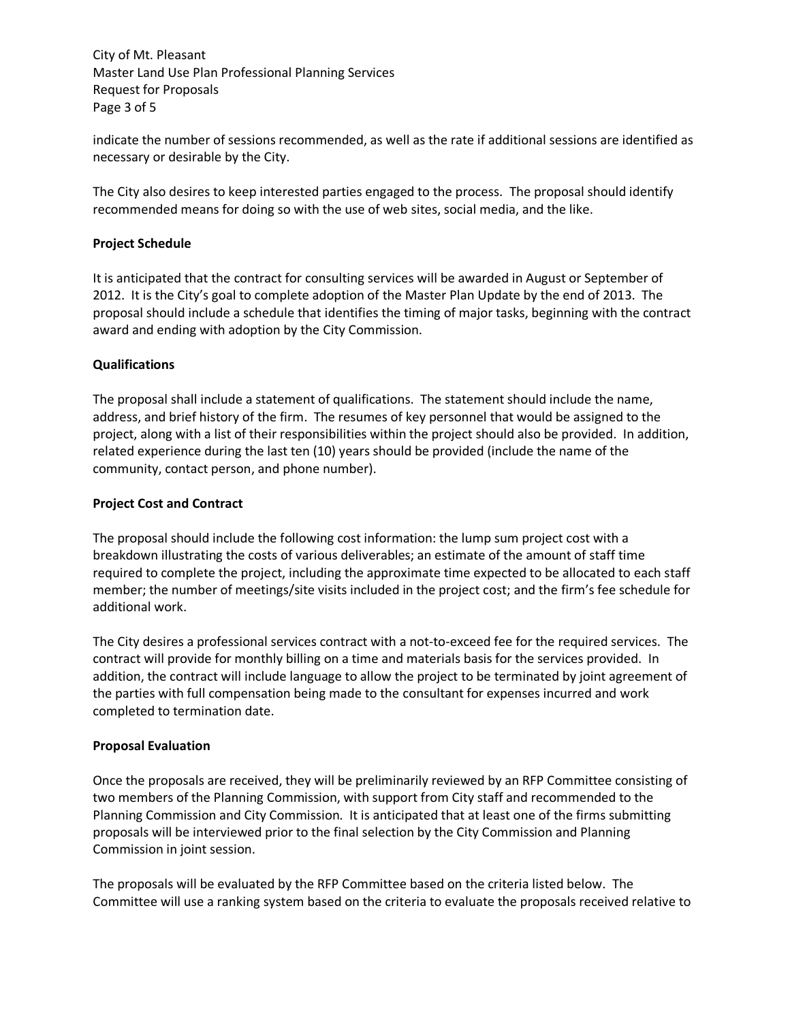City of Mt. Pleasant Master Land Use Plan Professional Planning Services Request for Proposals Page 3 of 5

indicate the number of sessions recommended, as well as the rate if additional sessions are identified as necessary or desirable by the City.

The City also desires to keep interested parties engaged to the process. The proposal should identify recommended means for doing so with the use of web sites, social media, and the like.

## Project Schedule

It is anticipated that the contract for consulting services will be awarded in August or September of 2012. It is the City's goal to complete adoption of the Master Plan Update by the end of 2013. The proposal should include a schedule that identifies the timing of major tasks, beginning with the contract award and ending with adoption by the City Commission.

### Qualifications

The proposal shall include a statement of qualifications. The statement should include the name, address, and brief history of the firm. The resumes of key personnel that would be assigned to the project, along with a list of their responsibilities within the project should also be provided. In addition, related experience during the last ten (10) years should be provided (include the name of the community, contact person, and phone number).

#### Project Cost and Contract

The proposal should include the following cost information: the lump sum project cost with a breakdown illustrating the costs of various deliverables; an estimate of the amount of staff time required to complete the project, including the approximate time expected to be allocated to each staff member; the number of meetings/site visits included in the project cost; and the firm's fee schedule for additional work.

The City desires a professional services contract with a not-to-exceed fee for the required services. The contract will provide for monthly billing on a time and materials basis for the services provided. In addition, the contract will include language to allow the project to be terminated by joint agreement of the parties with full compensation being made to the consultant for expenses incurred and work completed to termination date.

#### Proposal Evaluation

Once the proposals are received, they will be preliminarily reviewed by an RFP Committee consisting of two members of the Planning Commission, with support from City staff and recommended to the Planning Commission and City Commission. It is anticipated that at least one of the firms submitting proposals will be interviewed prior to the final selection by the City Commission and Planning Commission in joint session.

The proposals will be evaluated by the RFP Committee based on the criteria listed below. The Committee will use a ranking system based on the criteria to evaluate the proposals received relative to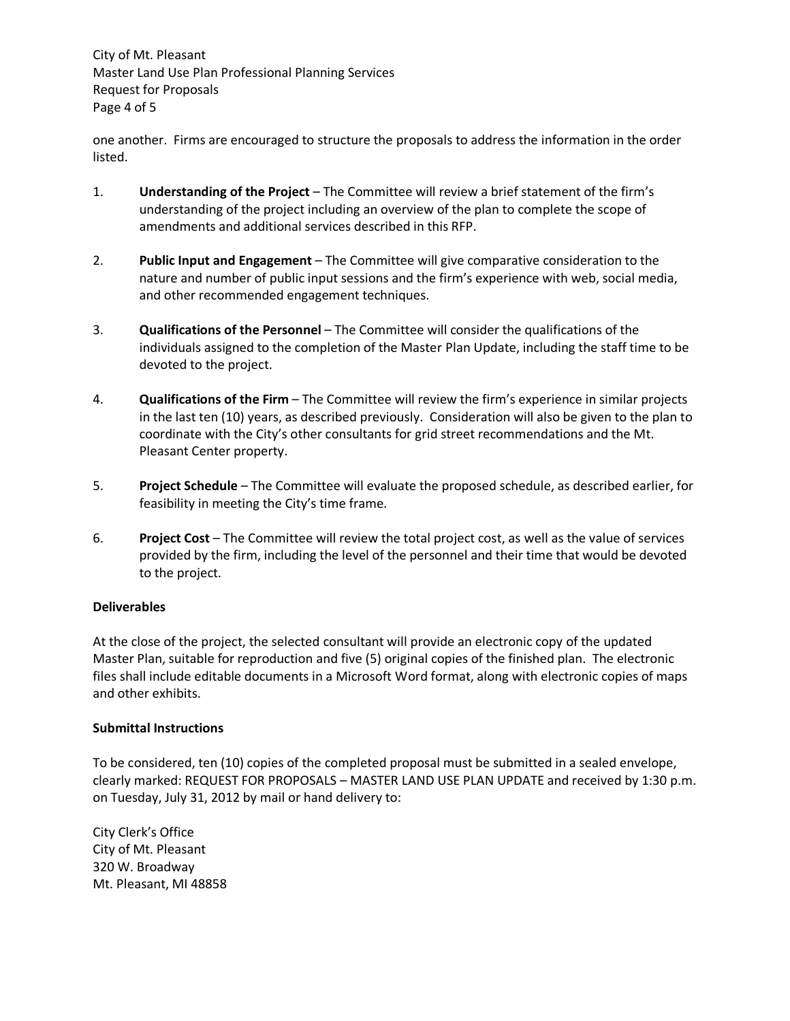City of Mt. Pleasant Master Land Use Plan Professional Planning Services Request for Proposals Page 4 of 5

one another. Firms are encouraged to structure the proposals to address the information in the order listed.

- 1. Understanding of the Project The Committee will review a brief statement of the firm's understanding of the project including an overview of the plan to complete the scope of amendments and additional services described in this RFP.
- 2. Public Input and Engagement The Committee will give comparative consideration to the nature and number of public input sessions and the firm's experience with web, social media, and other recommended engagement techniques.
- 3. Qualifications of the Personnel The Committee will consider the qualifications of the individuals assigned to the completion of the Master Plan Update, including the staff time to be devoted to the project.
- 4. **Qualifications of the Firm –** The Committee will review the firm's experience in similar projects in the last ten (10) years, as described previously. Consideration will also be given to the plan to coordinate with the City's other consultants for grid street recommendations and the Mt. Pleasant Center property.
- 5. Project Schedule The Committee will evaluate the proposed schedule, as described earlier, for feasibility in meeting the City's time frame.
- 6. Project Cost The Committee will review the total project cost, as well as the value of services provided by the firm, including the level of the personnel and their time that would be devoted to the project.

## Deliverables

At the close of the project, the selected consultant will provide an electronic copy of the updated Master Plan, suitable for reproduction and five (5) original copies of the finished plan. The electronic files shall include editable documents in a Microsoft Word format, along with electronic copies of maps and other exhibits.

## Submittal Instructions

To be considered, ten (10) copies of the completed proposal must be submitted in a sealed envelope, clearly marked: REQUEST FOR PROPOSALS – MASTER LAND USE PLAN UPDATE and received by 1:30 p.m. on Tuesday, July 31, 2012 by mail or hand delivery to:

City Clerk's Office City of Mt. Pleasant 320 W. Broadway Mt. Pleasant, MI 48858